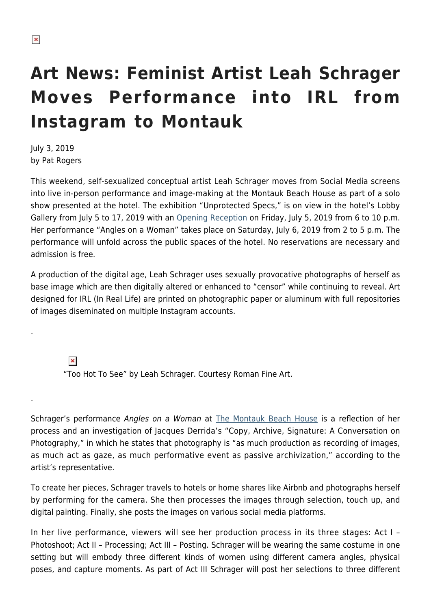## **Art News: Feminist Artist Leah Schrager Moves Performance into IRL from Instagram to Montauk**

July 3, 2019 by Pat Rogers

This weekend, self-sexualized conceptual artist Leah Schrager moves from Social Media screens into live in-person performance and image-making at the Montauk Beach House as part of a solo show presented at the hotel. The exhibition "Unprotected Specs," is on view in the hotel's Lobby Gallery from July 5 to 17, 2019 with an [Opening Reception](https://thembh.com/event-directory/) on Friday, July 5, 2019 from 6 to 10 p.m. Her performance "Angles on a Woman" takes place on Saturday, July 6, 2019 from 2 to 5 p.m. The performance will unfold across the public spaces of the hotel. No reservations are necessary and admission is free.

A production of the digital age, Leah Schrager uses sexually provocative photographs of herself as base image which are then digitally altered or enhanced to "censor" while continuing to reveal. Art designed for IRL (In Real Life) are printed on photographic paper or aluminum with full repositories of images diseminated on multiple Instagram accounts.

 $\pmb{\times}$ 

.

.

"Too Hot To See" by Leah Schrager. Courtesy Roman Fine Art.

Schrager's performance Angles on a Woman at [The Montauk Beach House](https://thembh.com/) is a reflection of her process and an investigation of Jacques Derrida's "Copy, Archive, Signature: A Conversation on Photography," in which he states that photography is "as much production as recording of images, as much act as gaze, as much performative event as passive archivization," according to the artist's representative.

To create her pieces, Schrager travels to hotels or home shares like Airbnb and photographs herself by performing for the camera. She then processes the images through selection, touch up, and digital painting. Finally, she posts the images on various social media platforms.

In her live performance, viewers will see her production process in its three stages: Act I – Photoshoot; Act II – Processing; Act III – Posting. Schrager will be wearing the same costume in one setting but will embody three different kinds of women using different camera angles, physical poses, and capture moments. As part of Act III Schrager will post her selections to three different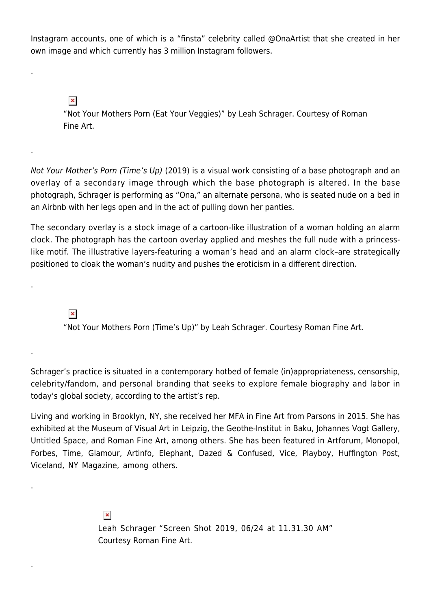Instagram accounts, one of which is a "finsta" celebrity called @OnaArtist that she created in her own image and which currently has 3 million Instagram followers.

 $\pmb{\times}$ 

.

.

.

.

.

.

"Not Your Mothers Porn (Eat Your Veggies)" by Leah Schrager. Courtesy of Roman Fine Art.

Not Your Mother's Porn (Time's Up) (2019) is a visual work consisting of a base photograph and an overlay of a secondary image through which the base photograph is altered. In the base photograph, Schrager is performing as "Ona," an alternate persona, who is seated nude on a bed in an Airbnb with her legs open and in the act of pulling down her panties.

The secondary overlay is a stock image of a cartoon-like illustration of a woman holding an alarm clock. The photograph has the cartoon overlay applied and meshes the full nude with a princesslike motif. The illustrative layers-featuring a woman's head and an alarm clock–are strategically positioned to cloak the woman's nudity and pushes the eroticism in a different direction.

 $\pmb{\times}$ 

"Not Your Mothers Porn (Time's Up)" by Leah Schrager. Courtesy Roman Fine Art.

Schrager's practice is situated in a contemporary hotbed of female (in)appropriateness, censorship, celebrity/fandom, and personal branding that seeks to explore female biography and labor in today's global society, according to the artist's rep.

Living and working in Brooklyn, NY, she received her MFA in Fine Art from Parsons in 2015. She has exhibited at the Museum of Visual Art in Leipzig, the Geothe-Institut in Baku, Johannes Vogt Gallery, Untitled Space, and Roman Fine Art, among others. She has been featured in Artforum, Monopol, Forbes, Time, Glamour, Artinfo, Elephant, Dazed & Confused, Vice, Playboy, Huffington Post, Viceland, NY Magazine, among others.

> $\pmb{\times}$ Leah Schrager "Screen Shot 2019, 06/24 at 11.31.30 AM" Courtesy Roman Fine Art.